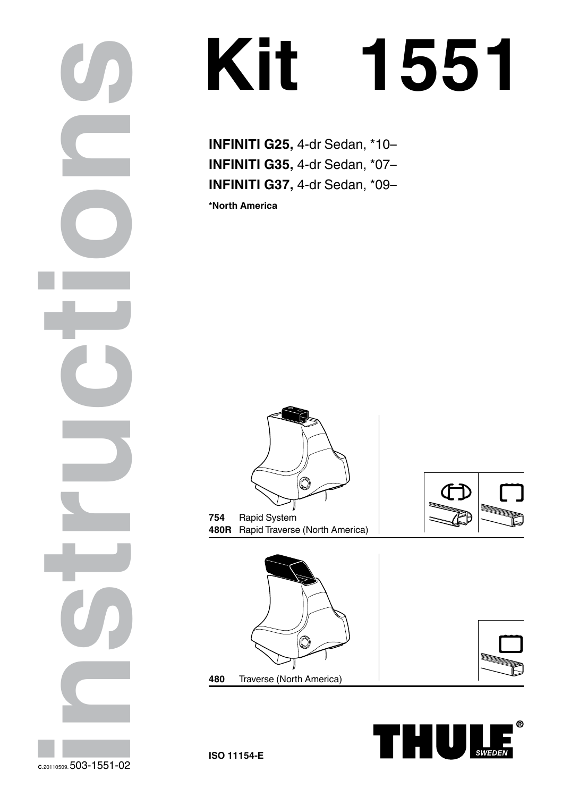## **Kit 1551**

**INFINITI G35,** 4-dr Sedan, \*07– **INFINITI G37,** 4-dr Sedan, \*09–

**\*North America**













**CONSERVERENTI G25,** 4-dr Sedan, \*10–<br>
INFINITI G37, 4-dr Sedan, \*0–<br>
INFINITI G37, 4-dr Sedan, \*0–<br>
INFINITI G37, 4-dr Sedan, \*0–<br>
INFINITI G37, 4-dr Sedan, \*0–<br>
INFINITI G37, 4-dr Sedan, \*0–<br>
INFINITI G37, 4-dr Sedan, \*0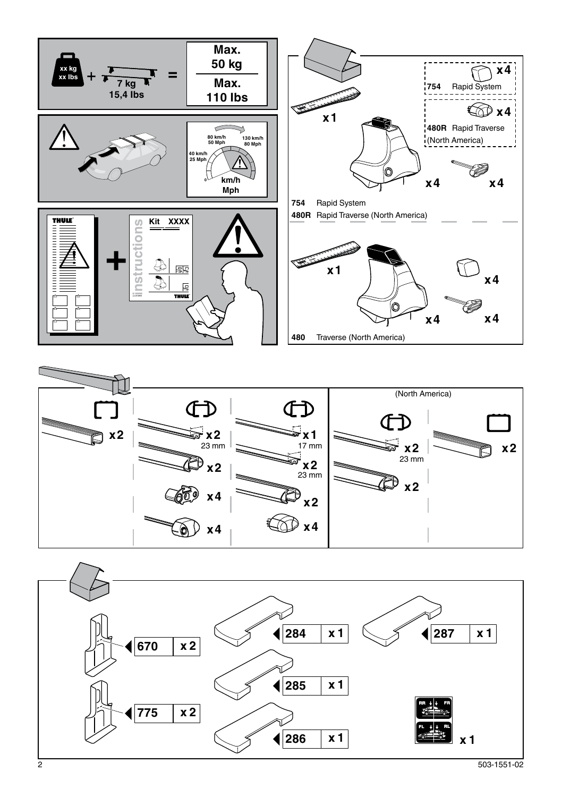



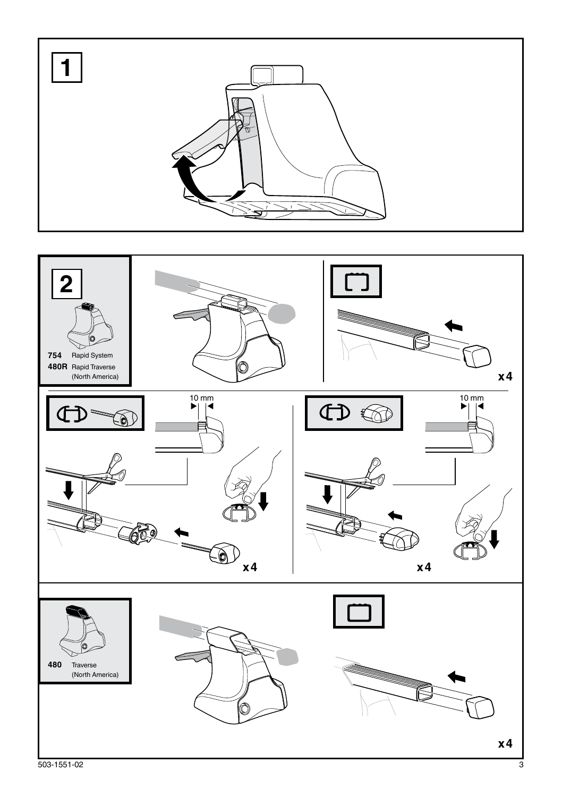

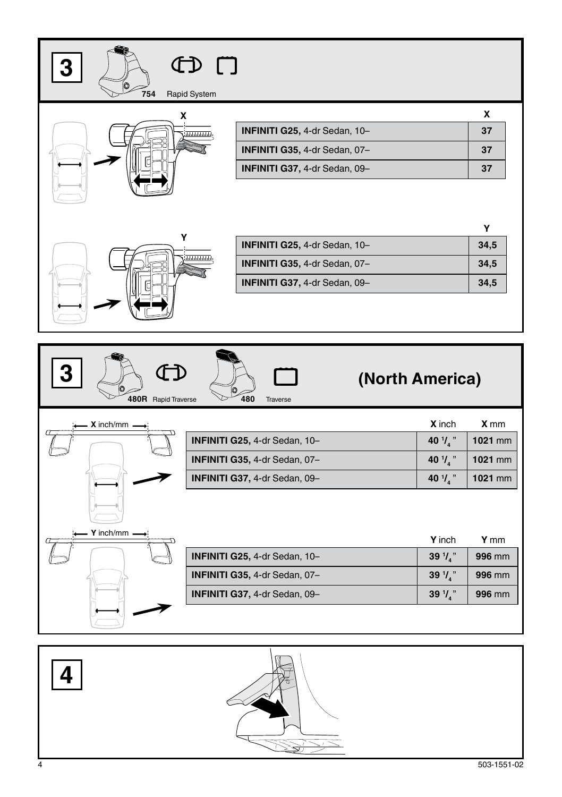| 754                                                            | $\Box$<br>Rapid System |                               |                      |         |  |  |
|----------------------------------------------------------------|------------------------|-------------------------------|----------------------|---------|--|--|
|                                                                | χ                      |                               |                      | x       |  |  |
|                                                                | باللبابا بابابابابا    | INFINITI G25, 4-dr Sedan, 10- |                      | 37      |  |  |
|                                                                |                        | INFINITI G35, 4-dr Sedan, 07- |                      | 37      |  |  |
|                                                                |                        | INFINITI G37, 4-dr Sedan, 09- |                      | 37      |  |  |
|                                                                |                        |                               |                      |         |  |  |
|                                                                | Υ                      |                               |                      | Υ       |  |  |
| INFINITI G25, 4-dr Sedan, 10-                                  |                        |                               |                      | 34,5    |  |  |
| INFINITI G35, 4-dr Sedan, 07-<br>INFINITI G37, 4-dr Sedan, 09- |                        |                               |                      | 34,5    |  |  |
|                                                                |                        |                               |                      | 34,5    |  |  |
|                                                                |                        |                               |                      |         |  |  |
| (North America)<br>480R Rapid Traverse<br>480<br>Traverse      |                        |                               |                      |         |  |  |
|                                                                |                        |                               |                      |         |  |  |
| X inch/mm                                                      |                        |                               | X inch               | X mm    |  |  |
|                                                                |                        | INFINITI G25, 4-dr Sedan, 10- | 40 $\frac{1}{4}$ "   | 1021 mm |  |  |
|                                                                |                        | INFINITI G35, 4-dr Sedan, 07- | 40 $\mathcal{V}_4$ " | 1021 mm |  |  |
|                                                                |                        | INFINITI G37, 4-dr Sedan, 09- | 40 $\frac{1}{4}$ "   | 1021 mm |  |  |
|                                                                |                        |                               |                      |         |  |  |
| Y inch/mm                                                      |                        |                               | Y inch               | Y mm    |  |  |
|                                                                |                        | INFINITI G25, 4-dr Sedan, 10- | 39 $1/3$             | 996 mm  |  |  |
|                                                                |                        | INFINITI G35, 4-dr Sedan, 07- | 39 $\frac{1}{4}$ "   | 996 mm  |  |  |
|                                                                |                        | INFINITI G37, 4-dr Sedan, 09- | 39 $\frac{1}{4}$ "   | 996 mm  |  |  |
|                                                                |                        |                               |                      |         |  |  |

<u>Ar</u>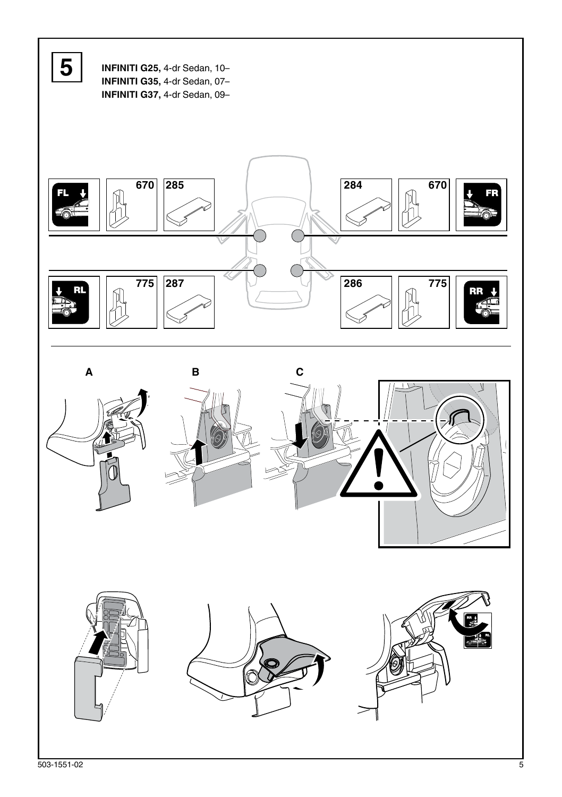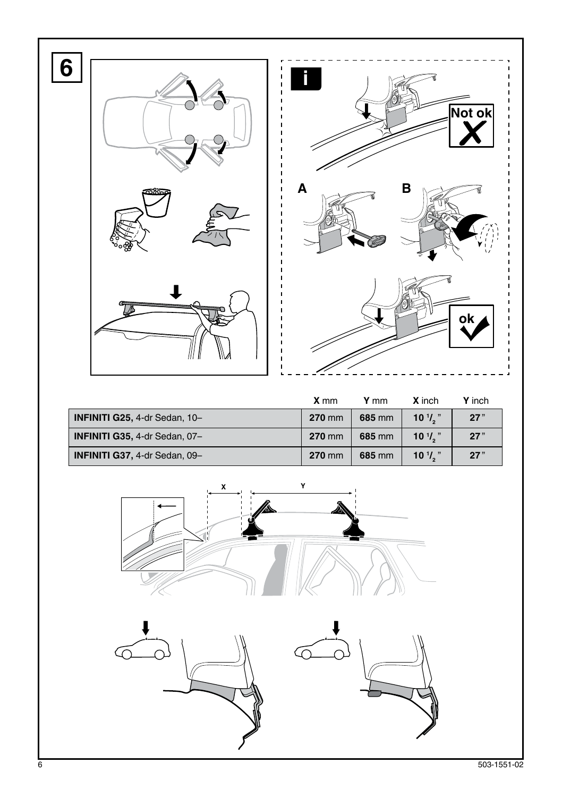

|                                      | <b>X</b> mm | Y mm   | <b>X</b> inch     | Y inch |
|--------------------------------------|-------------|--------|-------------------|--------|
| <b>INFINITI G25, 4-dr Sedan, 10-</b> | 270 mm      | 685 mm | $10\frac{1}{2}$   | 27"    |
| <b>INFINITI G35, 4-dr Sedan, 07-</b> | 270 mm      | 685 mm | $10^{17}$ .       | 27"    |
| <b>INFINITI G37, 4-dr Sedan, 09-</b> | 270 mm      | 685 mm | $10^{1}/\sqrt{2}$ | 27"    |

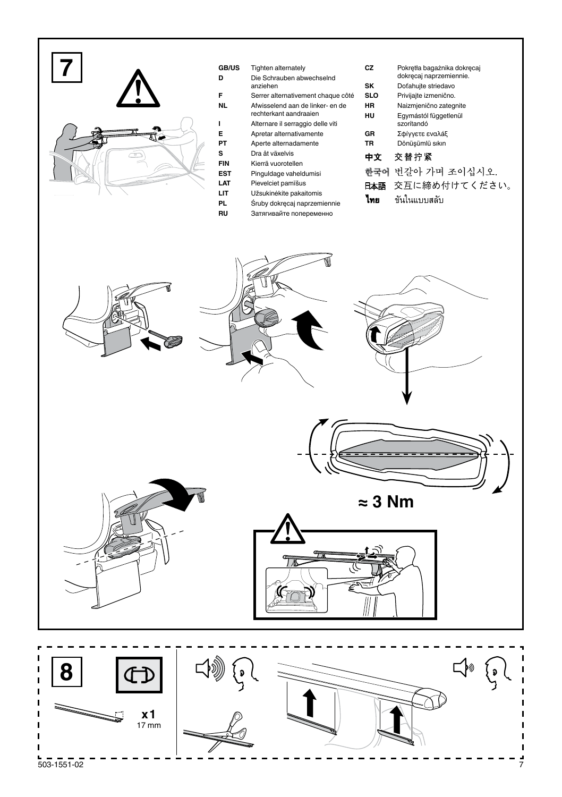